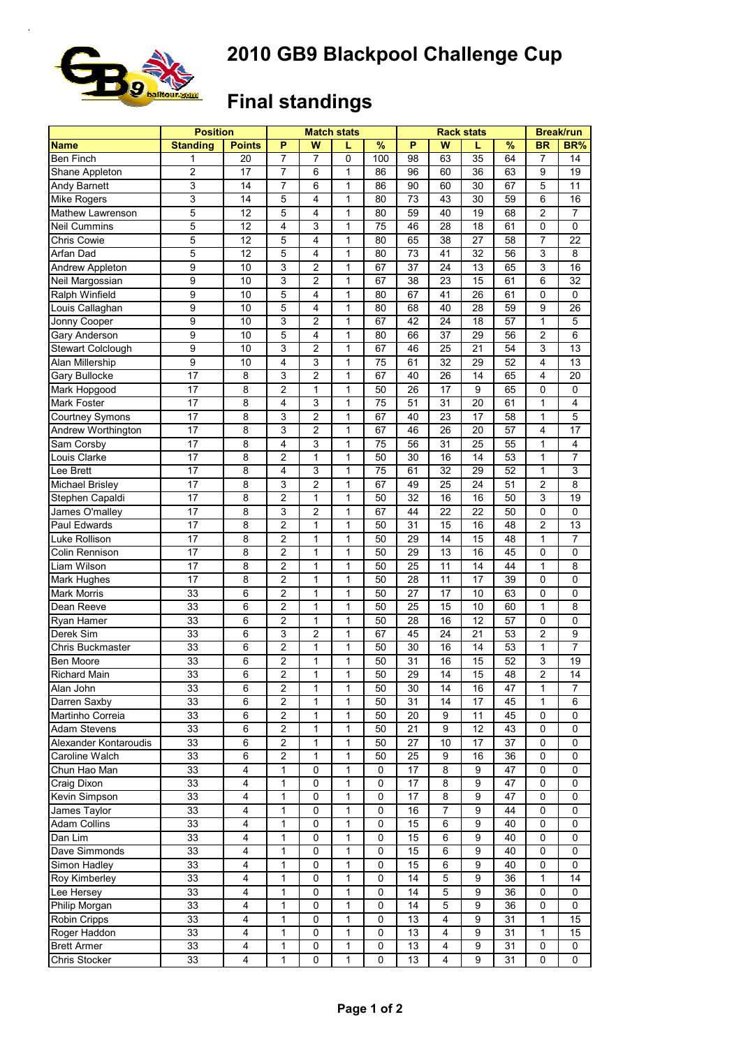## **2010 GB9 Blackpool Challenge Cup**



## **Final standings**

|                                  | <b>Position</b>  |               |                |                | <b>Match stats</b> |             |                 | <b>Rack stats</b> | <b>Break/run</b> |    |                |                         |
|----------------------------------|------------------|---------------|----------------|----------------|--------------------|-------------|-----------------|-------------------|------------------|----|----------------|-------------------------|
| <b>Name</b>                      | <b>Standing</b>  | <b>Points</b> | P              | W              | L                  | %           | P               | W                 | L                | %  | <b>BR</b>      | BR%                     |
| <b>Ben Finch</b>                 | 1                | 20            | $\overline{7}$ | 7              | 0                  | 100         | $\overline{98}$ | 63                | $\overline{35}$  | 64 | 7              | 14                      |
| Shane Appleton                   | $\overline{c}$   | 17            | $\overline{7}$ | 6              | 1                  | 86          | 96              | 60                | 36               | 63 | 9              | 19                      |
| Andy Barnett                     | 3                | 14            | $\overline{7}$ | 6              | 1                  | 86          | 90              | 60                | 30               | 67 | 5              | 11                      |
| Mike Rogers                      | 3                | 14            | 5              | 4              | $\mathbf{1}$       | 80          | 73              | 43                | 30               | 59 | 6              | 16                      |
| Mathew Lawrenson                 | 5                | 12            | 5              | 4              | 1                  | 80          | 59              | 40                | 19               | 68 | $\overline{c}$ | $\overline{7}$          |
| Neil Cummins                     | 5                | 12            | 4              | 3              | 1                  | 75          | 46              | 28                | 18               | 61 | 0              | $\mathbf 0$             |
| <b>Chris Cowie</b>               | 5                | 12            | 5              | 4              | $\mathbf{1}$       | 80          | 65              | 38                | 27               | 58 | $\overline{7}$ | 22                      |
| Arfan Dad                        | 5                | 12            | 5              | 4              | 1                  | 80          | 73              | 41                | 32               | 56 | 3              | 8                       |
| Andrew Appleton                  | $\boldsymbol{9}$ | 10            | 3              | 2              | 1                  | 67          | 37              | 24                | 13               | 65 | 3              | 16                      |
| Neil Margossian                  | $\overline{9}$   | 10            | 3              | 2              | 1                  | 67          | 38              | 23                | 15               | 61 | 6              | 32                      |
| Ralph Winfield                   | 9                | 10            | 5              | 4              | 1                  | 80          | 67              | 41                | 26               | 61 | $\mathbf 0$    | $\mathbf 0$             |
| Louis Callaghan                  | $\boldsymbol{9}$ | 10            | 5              | 4              | 1                  | 80          | 68              | 40                | 28               | 59 | 9              | 26                      |
| Jonny Cooper                     | 9                | 10            | 3              | 2              | 1                  | 67          | 42              | 24                | 18               | 57 | $\mathbf{1}$   | 5                       |
| Gary Anderson                    | 9                | 10            | 5              | 4              | 1                  | 80          | 66              | 37                | 29               | 56 | 2              | 6                       |
| Stewart Colclough                | $\boldsymbol{9}$ | 10            | 3              | 2              | 1                  | 67          | 46              | 25                | 21               | 54 | 3              | 13                      |
| Alan Millership                  | 9                | 10            | $\overline{4}$ | 3              | 1                  | 75          | 61              | 32                | 29               | 52 | 4              | 13                      |
| Gary Bullocke                    | 17               | 8             | 3              | $\overline{c}$ | 1                  | 67          | 40              | 26                | 14               | 65 | 4              | 20                      |
| Mark Hopgood                     | 17               | 8             | $\overline{2}$ | 1              | 1                  | 50          | 26              | 17                | 9                | 65 | 0              | 0                       |
| Mark Foster                      | 17               | 8             | $\overline{4}$ | 3              | 1                  | 75          | 51              | 31                | 20               | 61 | 1              | $\overline{\mathbf{4}}$ |
| Courtney Symons                  | 17               | 8             | 3              | 2              | 1                  | 67          | 40              | 23                | 17               | 58 | 1              | 5                       |
|                                  | 17               |               | 3              | $\overline{c}$ | $\mathbf{1}$       | 67          | 46              | 26                | 20               | 57 | 4              | 17                      |
| Andrew Worthington<br>Sam Corsby | 17               | 8<br>8        | 4              | 3              | $\mathbf{1}$       | 75          | 56              | 31                | 25               | 55 | $\mathbf{1}$   | 4                       |
|                                  |                  |               |                |                |                    |             |                 | 16                |                  |    |                |                         |
| Louis Clarke                     | 17               | 8             | $\overline{2}$ | 1              | 1                  | 50          | 30              |                   | 14               | 53 | 1              | $\overline{7}$          |
| Lee Brett                        | 17               | 8             | 4              | 3              | 1                  | 75          | 61              | 32                | 29               | 52 | $\mathbf{1}$   | 3                       |
| <b>Michael Brisley</b>           | 17               | 8             | 3              | 2              | 1                  | 67          | 49              | 25                | 24               | 51 | 2              | 8                       |
| Stephen Capaldi                  | 17               | 8             | $\overline{2}$ | 1              | $\mathbf{1}$       | 50          | 32              | 16                | 16               | 50 | $\mathsf 3$    | 19                      |
| James O'malley                   | 17               | 8             | 3              | 2              | 1                  | 67          | 44              | 22                | 22               | 50 | 0              | 0                       |
| Paul Edwards                     | 17               | 8             | $\overline{2}$ | 1              | $\mathbf{1}$       | 50          | 31              | 15                | 16               | 48 | $\overline{c}$ | 13                      |
| Luke Rollison                    | 17               | 8             | $\overline{2}$ | 1              | $\mathbf{1}$       | 50          | 29              | 14                | 15               | 48 | $\mathbf{1}$   | $\overline{7}$          |
| Colin Rennison                   | 17               | 8             | $\overline{2}$ | 1              | 1                  | 50          | 29              | 13                | 16               | 45 | 0              | $\mathbf 0$             |
| Liam Wilson                      | 17               | 8             | $\overline{2}$ | 1              | 1                  | 50          | 25              | 11                | 14               | 44 | $\mathbf{1}$   | 8                       |
| Mark Hughes                      | 17               | 8             | $\overline{2}$ | 1              | $\mathbf{1}$       | 50          | 28              | 11                | 17               | 39 | $\mathbf 0$    | $\mathbf 0$             |
| <b>Mark Morris</b>               | 33               | 6             | $\overline{c}$ | 1              | $\mathbf{1}$       | 50          | 27              | 17                | 10               | 63 | 0              | $\mathbf 0$             |
| Dean Reeve                       | 33               | 6             | $\overline{2}$ | 1              | 1                  | 50          | $\overline{25}$ | $\overline{15}$   | 10               | 60 | $\mathbf{1}$   | 8                       |
| Ryan Hamer                       | 33               | 6             | $\overline{c}$ | 1              | 1                  | 50          | 28              | 16                | 12               | 57 | 0              | $\mathbf 0$             |
| Derek Sim                        | 33               | 6             | 3              | $\overline{c}$ | 1                  | 67          | 45              | 24                | 21               | 53 | $\overline{2}$ | 9                       |
| Chris Buckmaster                 | 33               | 6             | $\overline{2}$ | 1              | 1                  | 50          | 30              | 16                | 14               | 53 | 1              | $\overline{7}$          |
| Ben Moore                        | 33               | 6             | $\overline{2}$ | 1              | 1                  | 50          | 31              | 16                | 15               | 52 | 3              | 19                      |
| <b>Richard Main</b>              | 33               | 6             | $\overline{2}$ | 1              | 1                  | 50          | 29              | 14                | 15               | 48 | $\overline{2}$ | 14                      |
| Alan John                        | 33               | 6             | $\overline{c}$ | 1              | 1                  | 50          | 30              | 14                | 16               | 47 | 1              | 7                       |
| Darren Saxby                     | 33               | 6             | $\overline{c}$ | 1              | 1                  | 50          | 31              | 14                | 17               | 45 | $\mathbf{1}$   | 6                       |
| Martinho Correia                 | 33               | 6             | $\overline{c}$ | 1              | 1                  | 50          | 20              | 9                 | 11               | 45 | 0              | 0                       |
| Adam Stevens                     | 33               | 6             | $\overline{2}$ | 1              | 1                  | 50          | 21              | 9                 | 12               | 43 | $\pmb{0}$      | 0                       |
| Alexander Kontaroudis            | 33               | 6             | $\overline{2}$ | 1              | 1                  | 50          | $\overline{27}$ | 10                | 17               | 37 | 0              | $\mathbf 0$             |
| Caroline Walch                   | 33               | 6             | $\overline{c}$ | 1              | $\mathbf{1}$       | 50          | 25              | 9                 | 16               | 36 | 0              | $\mathbf 0$             |
| Chun Hao Man                     | 33               | 4             | $\mathbf{1}$   | 0              | 1                  | $\mathbf 0$ | $\overline{17}$ | 8                 | 9                | 47 | $\pmb{0}$      | $\mathbf 0$             |
| Craig Dixon                      | 33               | 4             | 1              | 0              | $\mathbf{1}$       | 0           | 17              | 8                 | 9                | 47 | 0              | 0                       |
| Kevin Simpson                    | 33               | 4             | 1              | 0              | 1                  | 0           | 17              | 8                 | 9                | 47 | $\mathbf 0$    | 0                       |
| James Taylor                     | 33               | 4             | $\mathbf{1}$   | 0              | 1                  | 0           | 16              | $\overline{7}$    | 9                | 44 | $\pmb{0}$      | 0                       |
| Adam Collins                     | 33               | 4             | $\mathbf{1}$   | 0              | $\mathbf{1}$       | 0           | 15              | $\,6\,$           | 9                | 40 | $\pmb{0}$      | $\mathbf 0$             |
| Dan Lim                          | 33               | 4             | 1              | 0              | $\mathbf{1}$       | $\pmb{0}$   | 15              | 6                 | 9                | 40 | $\pmb{0}$      | $\mathbf 0$             |
| Dave Simmonds                    | 33               | 4             | $\mathbf{1}$   | 0              | 1                  | 0           | 15              | 6                 | 9                | 40 | 0              | $\mathbf 0$             |
| Simon Hadley                     | 33               | 4             | 1              | 0              | 1                  | 0           | 15              | 6                 | 9                | 40 | 0              | 0                       |
|                                  | 33               | 4             | 1              | 0              | 1                  | 0           | 14              | 5                 | 9                | 36 | $\mathbf{1}$   | 14                      |
| Roy Kimberley                    | 33               | 4             | $\mathbf{1}$   | 0              |                    | 0           | 14              | 5                 | 9                | 36 |                |                         |
| Lee Hersey                       |                  |               |                |                | 1                  |             |                 |                   |                  |    | 0              | 0                       |
| Philip Morgan                    | 33               | 4             | $\mathbf{1}$   | 0              | $\mathbf{1}$       | 0           | 14              | 5                 | 9                | 36 | $\pmb{0}$      | 0                       |
| Robin Cripps                     | 33               | 4             | 1              | 0              | $\mathbf{1}$       | 0           | 13              | 4                 | 9                | 31 | $\mathbf{1}$   | 15                      |
| Roger Haddon                     | 33               | 4             | 1              | 0              | 1                  | 0           | 13              | 4                 | 9                | 31 | 1              | 15                      |
| <b>Brett Armer</b>               | 33               | 4             | 1              | 0              | 1                  | 0           | 13              | 4                 | 9                | 31 | 0              | 0                       |
| Chris Stocker                    | 33               | 4             | 1              | 0              | $\mathbf{1}$       | 0           | 13              | 4                 | 9                | 31 | 0              | 0                       |